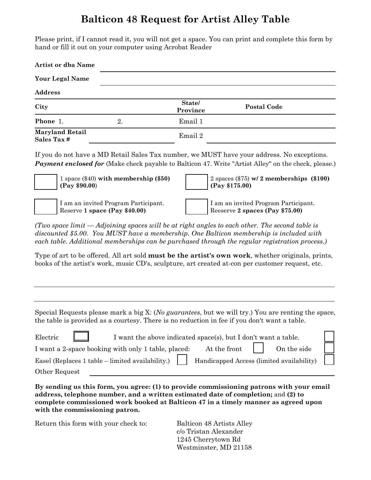## **Balticon 48 Request for Artist Alley Table**

Please print, if I cannot read it, you will not get a space. You can print and complete this form by hand or fill it out on your computer using Acrobat Reader

| <b>Artist or dba Name</b>            |    |                    |                    |  |
|--------------------------------------|----|--------------------|--------------------|--|
| <b>Your Legal Name</b>               |    |                    |                    |  |
| <b>Address</b>                       |    |                    |                    |  |
| City                                 |    | State/<br>Province | <b>Postal Code</b> |  |
| Phone 1.                             | 2. | Email 1            |                    |  |
| <b>Maryland Retail</b><br>Sales Tax# |    | Email 2            |                    |  |

If you do not have a MD Retail Sales Tax number, we MUST have your address. No exceptions. **Payment enclosed for** (Make check payable to Balticon 47. Write "Artist Alley" on the check, please.)

1 space (\$40) **with membership (\$50) (Pay \$90.00**)

I am an invited Program Participant. Reserve **1 space (Pay \$40.00)**

| $\left[2 \text{ spaces } (\$75) \text{ w/ } 2 \text{ memberships } (\$100) \right]$<br>(Pay \$175.00) |  |
|-------------------------------------------------------------------------------------------------------|--|
|                                                                                                       |  |
| I am an invited Program Participant.<br>Reeserve 2 spaces (Pay \$75.00)                               |  |
|                                                                                                       |  |

*(Two space limit — Adjoining spaces will be at right angles to each other. The second table is discounted \$5.00. You MUST have a membership. One Balticon membership is included with each table. Additional memberships can be purchased through the regular registration process.)* 

Type of art to be offered. All art sold **must be the artist's own work**, whether originals, prints, books of the artist's work, music CD's, sculpture, art created at-con per customer request, etc.

Special Requests please mark a big X: (*No guarantees*, but we will try.) You are renting the space, the table is provided as a courtesy. There is no reduction in fee if you don't want a table.

| Electric<br>I want the above indicated space(s), but I don't want a table.                                         |  |
|--------------------------------------------------------------------------------------------------------------------|--|
| At the front   On the side<br>I want a 2-space booking with only 1 table, placed:                                  |  |
| Easel (Replaces 1 table – limited availability.) $\parallel$ Handicapped Access (limited availability) $\parallel$ |  |
| Other Request                                                                                                      |  |

**By sending us this form, you agree: (1) to provide commissioning patrons with your email address, telephone number, and a written estimated date of completion;** and **(2) to complete commissioned work booked at Balticon 47 in a timely manner as agreed upon with the commissioning patron.** 

Return this form with your check to: Balticon 48 Artists Alley

c/o Tristan Alexander 1245 Cherrytown Rd Westminster, MD 21158